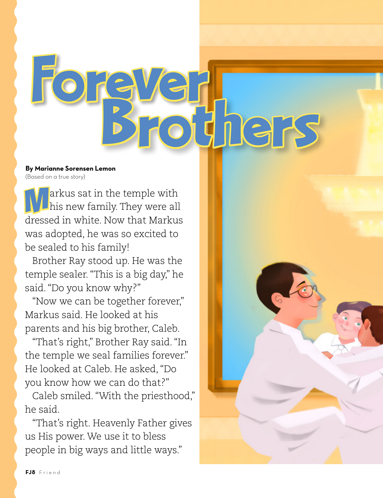

## **By Marianne Sorensen Lemon** (Based on a true story)

**Markus sat in the temple with hall part is new family.** They were all dressed in white. Now that Markus was adopted, he was so excited to be sealed to his family!

Brother Ray stood up. He was the temple sealer. "This is a big day," he said. "Do you know why?"

"Now we can be together forever," Markus said. He looked at his parents and his big brother, Caleb.

"That's right," Brother Ray said. "In the temple we seal families forever." He looked at Caleb. He asked, "Do you know how we can do that?"

Caleb smiled. "With the priesthood," he said.

"That's right. Heavenly Father gives us His power. We use it to bless people in big ways and little ways."